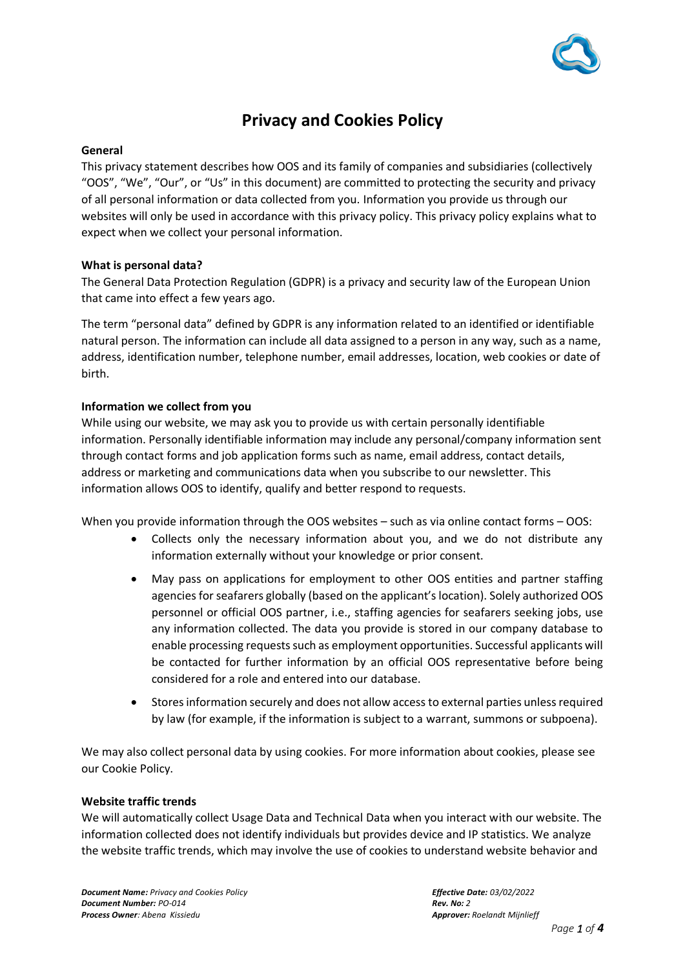

# **Privacy and Cookies Policy**

## **General**

This privacy statement describes how OOS and its family of companies and subsidiaries (collectively "OOS", "We", "Our", or "Us" in this document) are committed to protecting the security and privacy of all personal information or data collected from you. Information you provide us through our websites will only be used in accordance with this privacy policy. This privacy policy explains what to expect when we collect your personal information.

## **What is personal data?**

The General Data Protection Regulation (GDPR) is a privacy and security law of the European Union that came into effect a few years ago.

The term "personal data" defined by GDPR is any information related to an identified or identifiable natural person. The information can include all data assigned to a person in any way, such as a name, address, identification number, telephone number, email addresses, location, web cookies or date of birth.

## **Information we collect from you**

While using our website, we may ask you to provide us with certain personally identifiable information. Personally identifiable information may include any personal/company information sent through contact forms and job application forms such as name, email address, contact details, address or marketing and communications data when you subscribe to our newsletter. This information allows OOS to identify, qualify and better respond to requests.

When you provide information through the OOS websites – such as via online contact forms – OOS:

- Collects only the necessary information about you, and we do not distribute any information externally without your knowledge or prior consent.
- May pass on applications for employment to other OOS entities and partner staffing agencies for seafarers globally (based on the applicant's location). Solely authorized OOS personnel or official OOS partner, i.e., staffing agencies for seafarers seeking jobs, use any information collected. The data you provide is stored in our company database to enable processing requests such as employment opportunities. Successful applicants will be contacted for further information by an official OOS representative before being considered for a role and entered into our database.
- Stores information securely and does not allow access to external parties unless required by law (for example, if the information is subject to a warrant, summons or subpoena).

We may also collect personal data by using cookies. For more information about cookies, please see our Cookie Policy.

## **Website traffic trends**

We will automatically collect Usage Data and Technical Data when you interact with our website. The information collected does not identify individuals but provides device and IP statistics. We analyze the website traffic trends, which may involve the use of cookies to understand website behavior and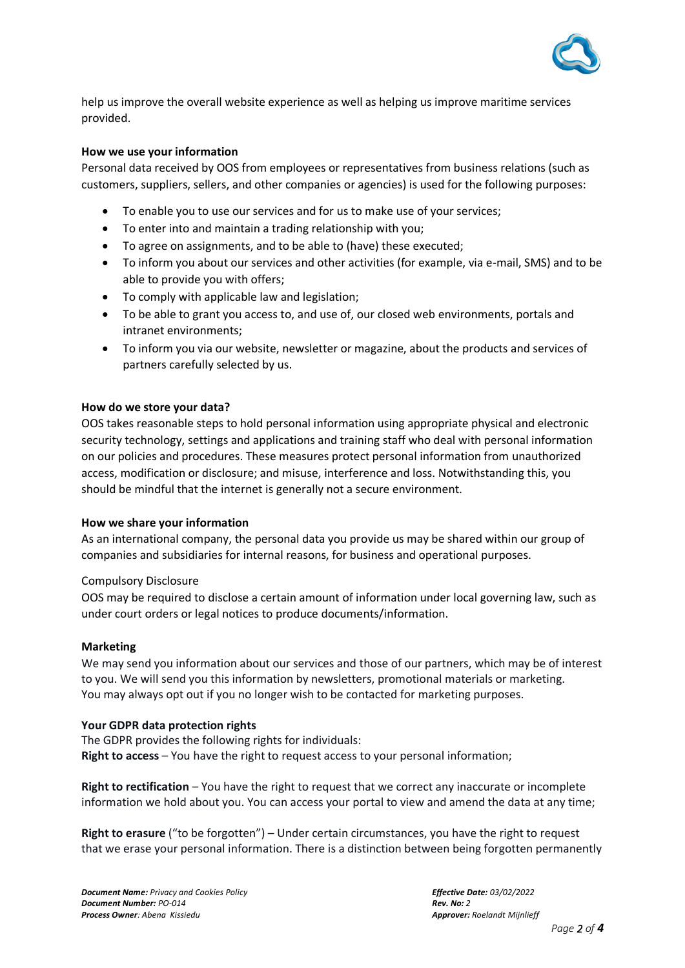

help us improve the overall website experience as well as helping us improve maritime services provided.

## **How we use your information**

Personal data received by OOS from employees or representatives from business relations (such as customers, suppliers, sellers, and other companies or agencies) is used for the following purposes:

- To enable you to use our services and for us to make use of your services;
- To enter into and maintain a trading relationship with you;
- To agree on assignments, and to be able to (have) these executed;
- To inform you about our services and other activities (for example, via e-mail, SMS) and to be able to provide you with offers;
- To comply with applicable law and legislation;
- To be able to grant you access to, and use of, our closed web environments, portals and intranet environments;
- To inform you via our website, newsletter or magazine, about the products and services of partners carefully selected by us.

#### **How do we store your data?**

OOS takes reasonable steps to hold personal information using appropriate physical and electronic security technology, settings and applications and training staff who deal with personal information on our policies and procedures. These measures protect personal information from unauthorized access, modification or disclosure; and misuse, interference and loss. Notwithstanding this, you should be mindful that the internet is generally not a secure environment.

#### **How we share your information**

As an international company, the personal data you provide us may be shared within our group of companies and subsidiaries for internal reasons, for business and operational purposes.

#### Compulsory Disclosure

OOS may be required to disclose a certain amount of information under local governing law, such as under court orders or legal notices to produce documents/information.

#### **Marketing**

We may send you information about our services and those of our partners, which may be of interest to you. We will send you this information by newsletters, promotional materials or marketing. You may always opt out if you no longer wish to be contacted for marketing purposes.

#### **Your GDPR data protection rights**

The GDPR provides the following rights for individuals: **Right to access** – You have the right to request access to your personal information;

**Right to rectification** – You have the right to request that we correct any inaccurate or incomplete information we hold about you. You can access your portal to view and amend the data at any time;

**Right to erasure** ("to be forgotten") – Under certain circumstances, you have the right to request that we erase your personal information. There is a distinction between being forgotten permanently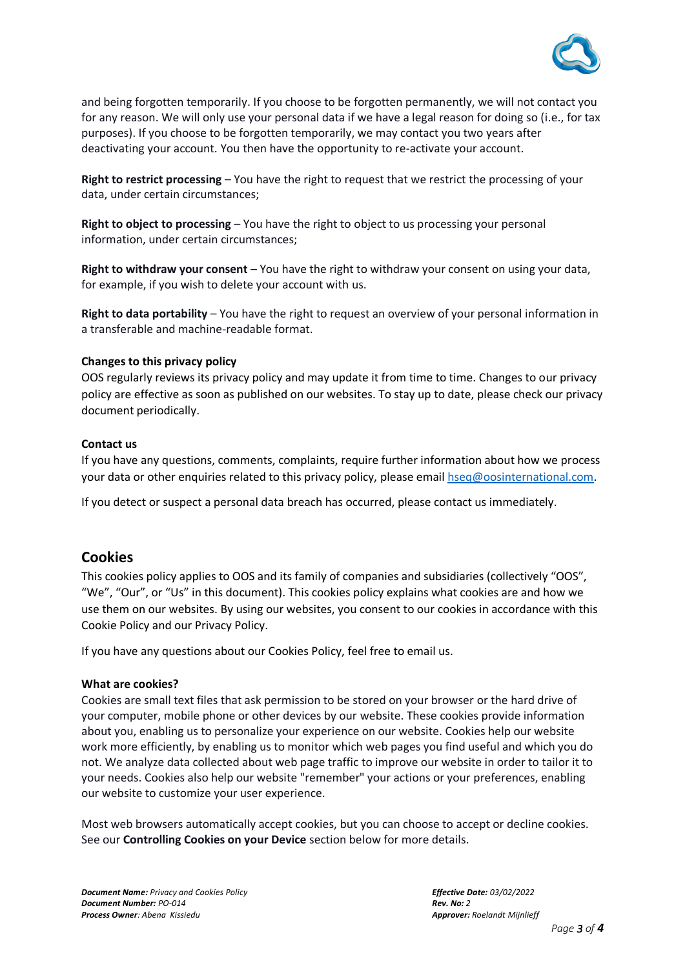

and being forgotten temporarily. If you choose to be forgotten permanently, we will not contact you for any reason. We will only use your personal data if we have a legal reason for doing so (i.e., for tax purposes). If you choose to be forgotten temporarily, we may contact you two years after deactivating your account. You then have the opportunity to re-activate your account.

**Right to restrict processing** – You have the right to request that we restrict the processing of your data, under certain circumstances;

**Right to object to processing** – You have the right to object to us processing your personal information, under certain circumstances;

**Right to withdraw your consent** – You have the right to withdraw your consent on using your data, for example, if you wish to delete your account with us.

**Right to data portability** – You have the right to request an overview of your personal information in a transferable and machine-readable format.

## **Changes to this privacy policy**

OOS regularly reviews its privacy policy and may update it from time to time. Changes to our privacy policy are effective as soon as published on our websites. To stay up to date, please check our privacy document periodically.

## **Contact us**

If you have any questions, comments, complaints, require further information about how we process your data or other enquiries related to this privacy policy, please email [hseq@oosinternational.com.](mailto:hseq@oosinternational.com)

If you detect or suspect a personal data breach has occurred, please contact us immediately.

## **Cookies**

This cookies policy applies to OOS and its family of companies and subsidiaries (collectively "OOS", "We", "Our", or "Us" in this document). This cookies policy explains what cookies are and how we use them on our websites. By using our websites, you consent to our cookies in accordance with this Cookie Policy and our Privacy Policy.

If you have any questions about our Cookies Policy, feel free to email us.

## **What are cookies?**

Cookies are small text files that ask permission to be stored on your browser or the hard drive of your computer, mobile phone or other devices by our website. These cookies provide information about you, enabling us to personalize your experience on our website. Cookies help our website work more efficiently, by enabling us to monitor which web pages you find useful and which you do not. We analyze data collected about web page traffic to improve our website in order to tailor it to your needs. Cookies also help our website "remember" your actions or your preferences, enabling our website to customize your user experience.

Most web browsers automatically accept cookies, but you can choose to accept or decline cookies. See our **Controlling Cookies on your Device** section below for more details.